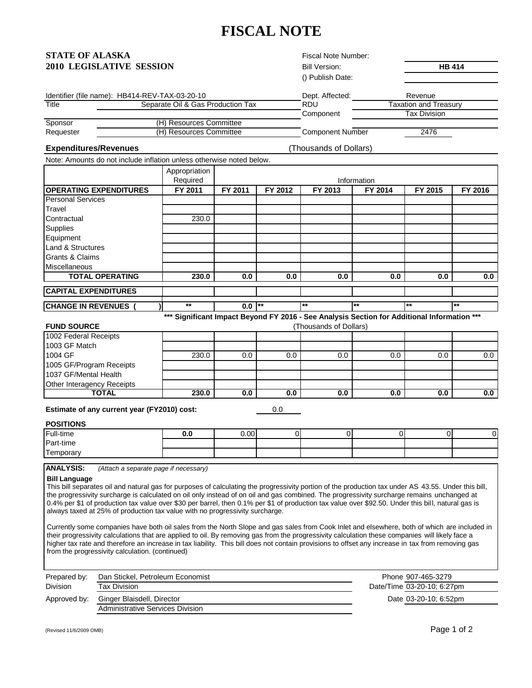# **FISCAL NOTE**

| STATE OF ALASKA                 |  |
|---------------------------------|--|
| <b>2010 LEGISLATIVE SESSION</b> |  |

Fiscal Note Number:

Bill Version:

|         |                                                | () Publish Date: |                              |
|---------|------------------------------------------------|------------------|------------------------------|
|         | Identifier (file name): HB414-REV-TAX-03-20-10 | Dept. Affected:  | Revenue                      |
| Title   | Separate Oil & Gas Production Tax              | RDU              | <b>Taxation and Treasury</b> |
|         |                                                | Component        | Tax Division                 |
| Sponsor | (H) Resources Committee                        |                  |                              |

Tax Division

**HB 414**

Requester Component Number 2476 (H) Resources Committee

## **Expenditures/Revenues**

(Thousands of Dollars)

| Note: Amounts do not include inflation unless otherwise noted below. |                           |             |         |         |         |         |         |
|----------------------------------------------------------------------|---------------------------|-------------|---------|---------|---------|---------|---------|
|                                                                      | Appropriation<br>Required | Information |         |         |         |         |         |
| <b>OPERATING EXPENDITURES</b>                                        | FY 2011                   | FY 2011     | FY 2012 | FY 2013 | FY 2014 | FY 2015 | FY 2016 |
| <b>Personal Services</b>                                             |                           |             |         |         |         |         |         |
| Travel                                                               |                           |             |         |         |         |         |         |
| Contractual                                                          | 230.0                     |             |         |         |         |         |         |
| Supplies                                                             |                           |             |         |         |         |         |         |
| Equipment                                                            |                           |             |         |         |         |         |         |
| Land & Structures                                                    |                           |             |         |         |         |         |         |
| <b>Grants &amp; Claims</b>                                           |                           |             |         |         |         |         |         |
| <b>Miscellaneous</b>                                                 |                           |             |         |         |         |         |         |
| <b>TOTAL OPERATING</b>                                               | 230.0                     | 0.0         | 0.0     | 0.0     | 0.0     | 0.0     | 0.0     |
| <b>CAPITAL EXPENDITURES</b>                                          |                           |             |         |         |         |         |         |
| <b>CHANGE IN REVENUES</b>                                            | $***$                     | 0.0         | $***$   | $***$   | $***$   | $***$   | $***$   |

**\*\*\* Significant Impact Beyond FY 2016 - See Analysis Section for Additional Information \*\*\***

#### 230.0 | 0.0 | 0.0 | 0.0 | 0.0 | 0.0 | 0.0 | 0.0 | 0.0 | 0.0 | 0.0 | 0.0 | 0.0 | 0.0 **230.0 0.0 0.0 0.0 0.0 0.0 0.0** (Thousands of Dollars) Other Interagency Receipts **TOTAL** 1005 GF/Program Receipts 1037 GF/Mental Health **FUND SOURCE** 1002 Federal Receipts 1003 GF Match 1004 GF

**Estimate of any current year (FY2010) cost:** 

0.0

## **POSITIONS**

| Full-time | v.w | 0.00 |  |  | OΙ |
|-----------|-----|------|--|--|----|
| Part-time |     |      |  |  |    |
| Temporary |     |      |  |  |    |
|           |     |      |  |  |    |

**ANALYSIS:** *(Attach a separate page if necessary)*

#### **Bill Language**

This bill separates oil and natural gas for purposes of calculating the progressivity portion of the production tax under AS 43.55. Under this bill, the progressivity surcharge is calculated on oil only instead of on oil and gas combined. The progressivity surcharge remains unchanged at 0.4% per \$1 of production tax value over \$30 per barrel, then 0.1% per \$1 of production tax value over \$92.50. Under this bil l, natural gas is always taxed at 25% of production tax value with no progressivity surcharge.

Currently some companies have both oil sales from the North Slope and gas sales from Cook Inlet and elsewhere, both of which are included in their progressivity calculations that are applied to oil. By removing gas from the progressivity calculation these companies will likely face a higher tax rate and therefore an increase in tax liability. This bill does not contain provisions to offset any increase in tax from removing gas from the progressivity calculation. (continued)

| Prepared by: | Dan Stickel, Petroleum Economist | Phone 907-465-3279         |
|--------------|----------------------------------|----------------------------|
| Division     | Tax Division                     | Date/Time 03-20-10; 6:27pm |
| Approved by: | Ginger Blaisdell, Director       | Date 03-20-10: 6:52pm      |
|              | Administrative Services Division |                            |